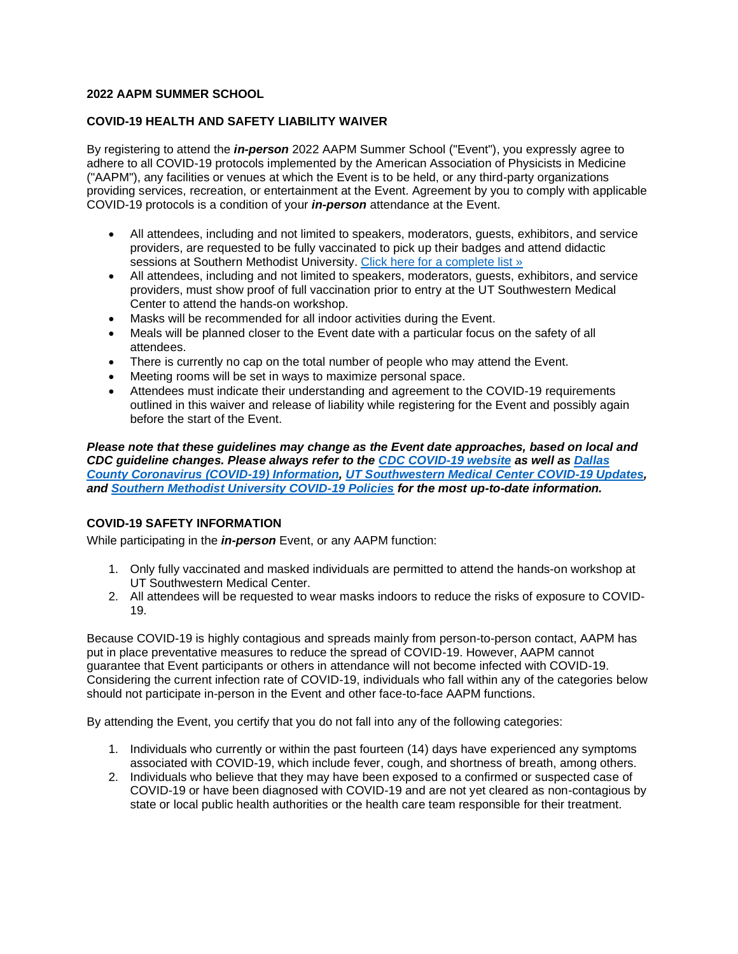## **2022 AAPM SUMMER SCHOOL**

## **COVID-19 HEALTH AND SAFETY LIABILITY WAIVER**

By registering to attend the *in-person* 2022 AAPM Summer School ("Event"), you expressly agree to adhere to all COVID-19 protocols implemented by the American Association of Physicists in Medicine ("AAPM"), any facilities or venues at which the Event is to be held, or any third-party organizations providing services, recreation, or entertainment at the Event. Agreement by you to comply with applicable COVID-19 protocols is a condition of your *in-person* attendance at the Event.

- All attendees, including and not limited to speakers, moderators, guests, exhibitors, and service providers, are requested to be fully vaccinated to pick up their badges and attend didactic sessions at Southern Methodist University. [Click here for a complete list »](https://covid19.trackvaccines.org/agency/who/)
- All attendees, including and not limited to speakers, moderators, guests, exhibitors, and service providers, must show proof of full vaccination prior to entry at the UT Southwestern Medical Center to attend the hands-on workshop.
- Masks will be recommended for all indoor activities during the Event.
- Meals will be planned closer to the Event date with a particular focus on the safety of all attendees.
- There is currently no cap on the total number of people who may attend the Event.
- Meeting rooms will be set in ways to maximize personal space.
- Attendees must indicate their understanding and agreement to the COVID-19 requirements outlined in this waiver and release of liability while registering for the Event and possibly again before the start of the Event.

*Please note that these guidelines may change as the Event date approaches, based on local and CDC guideline changes. Please always refer to the [CDC COVID-19 website](https://www.cdc.gov/coronavirus/2019-nCoV/index.html) as well as [Dallas](https://www.dallascounty.org/covid-19/)  [County Coronavirus \(COVID-19\) Information,](https://www.dallascounty.org/covid-19/) [UT Southwestern Medical Center COVID-19 Updates,](https://www.utsouthwestern.edu/covid-19/) and [Southern Methodist University COVID-19 Policies](https://www.smu.edu/Coronavirus) for the most up-to-date information.*

# **COVID-19 SAFETY INFORMATION**

While participating in the *in-person* Event, or any AAPM function:

- 1. Only fully vaccinated and masked individuals are permitted to attend the hands-on workshop at UT Southwestern Medical Center.
- 2. All attendees will be requested to wear masks indoors to reduce the risks of exposure to COVID-19.

Because COVID-19 is highly contagious and spreads mainly from person-to-person contact, AAPM has put in place preventative measures to reduce the spread of COVID-19. However, AAPM cannot guarantee that Event participants or others in attendance will not become infected with COVID-19. Considering the current infection rate of COVID-19, individuals who fall within any of the categories below should not participate in-person in the Event and other face-to-face AAPM functions.

By attending the Event, you certify that you do not fall into any of the following categories:

- 1. Individuals who currently or within the past fourteen (14) days have experienced any symptoms associated with COVID-19, which include fever, cough, and shortness of breath, among others.
- 2. Individuals who believe that they may have been exposed to a confirmed or suspected case of COVID-19 or have been diagnosed with COVID-19 and are not yet cleared as non-contagious by state or local public health authorities or the health care team responsible for their treatment.